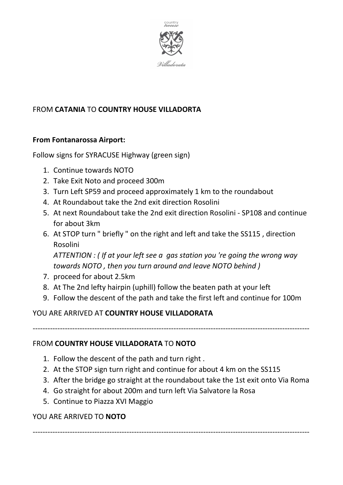

# FROM **CATANIA** TO **COUNTRY HOUSE VILLADORTA**

## **From Fontanarossa Airport:**

Follow signs for SYRACUSE Highway (green sign)

- 1. Continue towards NOTO
- 2. Take Exit Noto and proceed 300m
- 3. Turn Left SP59 and proceed approximately 1 km to the roundabout
- 4. At Roundabout take the 2nd exit direction Rosolini
- 5. At next Roundabout take the 2nd exit direction Rosolini SP108 and continue for about 3km
- 6. At STOP turn " briefly " on the right and left and take the SS115 , direction Rosolini

*ATTENTION : ( If at your left see a gas station you 're going the wrong way towards NOTO , then you turn around and leave NOTO behind )* 

- 7. proceed for about 2.5km
- 8. At The 2nd lefty hairpin (uphill) follow the beaten path at your left
- 9. Follow the descent of the path and take the first left and continue for 100m

#### YOU ARE ARRIVED AT **COUNTRY HOUSE VILLADORATA**

----------------------------------------------------------------------------------------------------------------

#### FROM **COUNTRY HOUSE VILLADORATA** TO **NOTO**

- 1. Follow the descent of the path and turn right .
- 2. At the STOP sign turn right and continue for about 4 km on the SS115
- 3. After the bridge go straight at the roundabout take the 1st exit onto Via Roma
- 4. Go straight for about 200m and turn left Via Salvatore la Rosa
- 5. Continue to Piazza XVI Maggio

#### YOU ARE ARRIVED TO **NOTO**

----------------------------------------------------------------------------------------------------------------